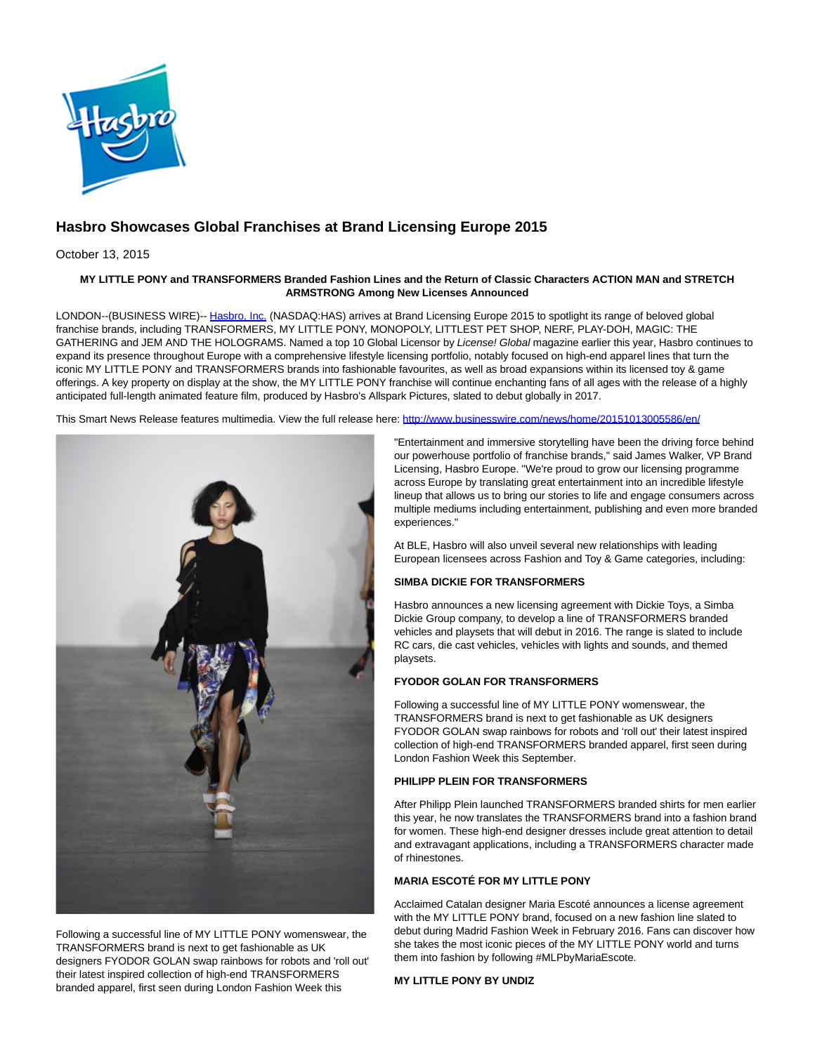

# **Hasbro Showcases Global Franchises at Brand Licensing Europe 2015**

October 13, 2015

## **MY LITTLE PONY and TRANSFORMERS Branded Fashion Lines and the Return of Classic Characters ACTION MAN and STRETCH ARMSTRONG Among New Licenses Announced**

LONDON--(BUSINESS WIRE)-- [Hasbro, Inc. \(](http://cts.businesswire.com/ct/CT?id=smartlink&url=http%3A%2F%2Fnewsroom.hasbro.com%2Fmediakit%2F&esheet=51199719&newsitemid=20151013005586&lan=en-US&anchor=Hasbro%2C+Inc.&index=1&md5=0073ea87ceb9eae797c735787a697106)NASDAQ:HAS) arrives at Brand Licensing Europe 2015 to spotlight its range of beloved global franchise brands, including TRANSFORMERS, MY LITTLE PONY, MONOPOLY, LITTLEST PET SHOP, NERF, PLAY-DOH, MAGIC: THE GATHERING and JEM AND THE HOLOGRAMS. Named a top 10 Global Licensor by License! Global magazine earlier this year, Hasbro continues to expand its presence throughout Europe with a comprehensive lifestyle licensing portfolio, notably focused on high-end apparel lines that turn the iconic MY LITTLE PONY and TRANSFORMERS brands into fashionable favourites, as well as broad expansions within its licensed toy & game offerings. A key property on display at the show, the MY LITTLE PONY franchise will continue enchanting fans of all ages with the release of a highly anticipated full-length animated feature film, produced by Hasbro's Allspark Pictures, slated to debut globally in 2017.

This Smart News Release features multimedia. View the full release here:<http://www.businesswire.com/news/home/20151013005586/en/>



Following a successful line of MY LITTLE PONY womenswear, the TRANSFORMERS brand is next to get fashionable as UK designers FYODOR GOLAN swap rainbows for robots and 'roll out' their latest inspired collection of high-end TRANSFORMERS branded apparel, first seen during London Fashion Week this

"Entertainment and immersive storytelling have been the driving force behind our powerhouse portfolio of franchise brands," said James Walker, VP Brand Licensing, Hasbro Europe. "We're proud to grow our licensing programme across Europe by translating great entertainment into an incredible lifestyle lineup that allows us to bring our stories to life and engage consumers across multiple mediums including entertainment, publishing and even more branded experiences."

At BLE, Hasbro will also unveil several new relationships with leading European licensees across Fashion and Toy & Game categories, including:

# **SIMBA DICKIE FOR TRANSFORMERS**

Hasbro announces a new licensing agreement with Dickie Toys, a Simba Dickie Group company, to develop a line of TRANSFORMERS branded vehicles and playsets that will debut in 2016. The range is slated to include RC cars, die cast vehicles, vehicles with lights and sounds, and themed playsets.

# **FYODOR GOLAN FOR TRANSFORMERS**

Following a successful line of MY LITTLE PONY womenswear, the TRANSFORMERS brand is next to get fashionable as UK designers FYODOR GOLAN swap rainbows for robots and 'roll out' their latest inspired collection of high-end TRANSFORMERS branded apparel, first seen during London Fashion Week this September.

## **PHILIPP PLEIN FOR TRANSFORMERS**

After Philipp Plein launched TRANSFORMERS branded shirts for men earlier this year, he now translates the TRANSFORMERS brand into a fashion brand for women. These high-end designer dresses include great attention to detail and extravagant applications, including a TRANSFORMERS character made of rhinestones.

# **MARIA ESCOTÉ FOR MY LITTLE PONY**

Acclaimed Catalan designer Maria Escoté announces a license agreement with the MY LITTLE PONY brand, focused on a new fashion line slated to debut during Madrid Fashion Week in February 2016. Fans can discover how she takes the most iconic pieces of the MY LITTLE PONY world and turns them into fashion by following #MLPbyMariaEscote.

## **MY LITTLE PONY BY UNDIZ**